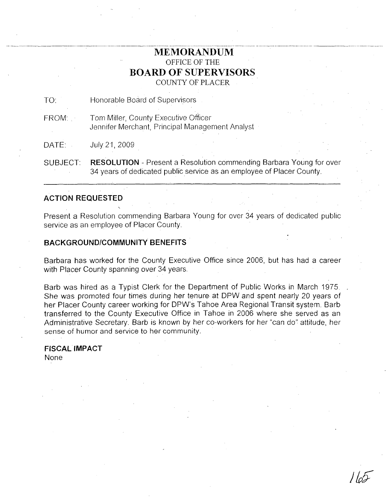## **MEMORANDUM** OFFICE OF THE **BOARD OF SUPERVISORS** COUNTY OF PLACER

TO: Honorable Board of Supervisors

FROM: Tom Miller, County Executive Officer Jennifer Merchant, Principal Management Analyst

DATE: **July 21, 2009** 

SUBJECT: **RESOLUTION** - Present a Resolution commending Barbara Young for over 34 years of dedicated public service as an employee of Placer County.

## **ACTION REQUESTED**

Present a Resolution commending Barbara Young for over 34 years of dedicated public service as an employee of Placer County.

## **BACKGROUND/COMMUNITY BENEFITS**

Barbara has worked for the County Executive Office since 2006, but has had a career with Placer County spanning over 34 years.

Barb was hired as a Typist Clerk for the Department of Public Works in March 1975 She was promoted four time's during her tenure at DPW and spent nearly 20 years of her Placer County career working for DPW's Tahoe Area Regional Transit system. Barb transferred to the County Executive Office in Tahoe in 2006 where she served as an Administrative Secretary. Barb is known by her co-workers for her "can do" attitude, her sense of humor and service to her community.

**FISCAL IMPACT** None